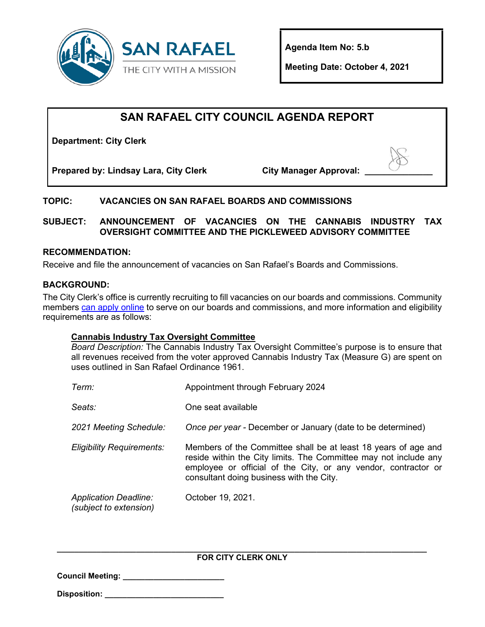

**Agenda Item No: 5.b** 

**Meeting Date: October 4, 2021**

# **SAN RAFAEL CITY COUNCIL AGENDA REPORT**

**Department: City Clerk**

**Prepared by: Lindsay Lara, City Clerk City Manager Approval: \_\_\_\_\_\_\_\_\_\_\_\_\_\_**

## **TOPIC: VACANCIES ON SAN RAFAEL BOARDS AND COMMISSIONS**

**SUBJECT: ANNOUNCEMENT OF VACANCIES ON THE CANNABIS INDUSTRY TAX OVERSIGHT COMMITTEE AND THE PICKLEWEED ADVISORY COMMITTEE**

### **RECOMMENDATION:**

Receive and file the announcement of vacancies on San Rafael's Boards and Commissions.

### **BACKGROUND:**

The City Clerk's office is currently recruiting to fill vacancies on our boards and commissions. Community members [can apply online](https://www.cityofsanrafael.org/boards-commissions/) to serve on our boards and commissions, and more information and eligibility requirements are as follows:

### **Cannabis Industry Tax Oversight Committee**

*Board Description:* The Cannabis Industry Tax Oversight Committee's purpose is to ensure that all revenues received from the voter approved Cannabis Industry Tax (Measure G) are spent on uses outlined in San Rafael Ordinance 1961.

| Term:                                                  | Appointment through February 2024                                                                                                                                                                                                                |
|--------------------------------------------------------|--------------------------------------------------------------------------------------------------------------------------------------------------------------------------------------------------------------------------------------------------|
| Seats:                                                 | One seat available                                                                                                                                                                                                                               |
| 2021 Meeting Schedule:                                 | Once per year - December or January (date to be determined)                                                                                                                                                                                      |
| <b>Eligibility Requirements:</b>                       | Members of the Committee shall be at least 18 years of age and<br>reside within the City limits. The Committee may not include any<br>employee or official of the City, or any vendor, contractor or<br>consultant doing business with the City. |
| <b>Application Deadline:</b><br>(subject to extension) | October 19, 2021.                                                                                                                                                                                                                                |

#### **\_\_\_\_\_\_\_\_\_\_\_\_\_\_\_\_\_\_\_\_\_\_\_\_\_\_\_\_\_\_\_\_\_\_\_\_\_\_\_\_\_\_\_\_\_\_\_\_\_\_\_\_\_\_\_\_\_\_\_\_\_\_\_\_\_\_\_\_\_\_\_\_\_\_\_\_\_\_\_\_\_\_\_\_ FOR CITY CLERK ONLY**

| <b>Council Meeting:</b> |
|-------------------------|
|-------------------------|

| <b>Disposition:</b> |  |  |
|---------------------|--|--|
|                     |  |  |